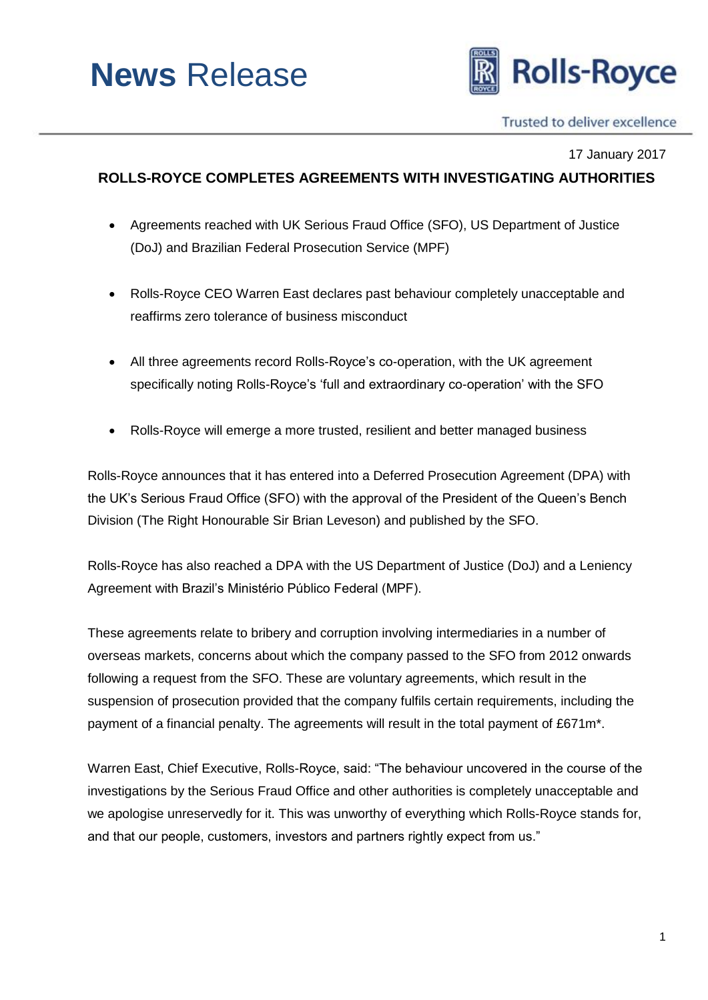# **News** Release



Trusted to deliver excellence

17 January 2017

# **ROLLS-ROYCE COMPLETES AGREEMENTS WITH INVESTIGATING AUTHORITIES**

- Agreements reached with UK Serious Fraud Office (SFO), US Department of Justice (DoJ) and Brazilian Federal Prosecution Service (MPF)
- Rolls-Royce CEO Warren East declares past behaviour completely unacceptable and reaffirms zero tolerance of business misconduct
- All three agreements record Rolls-Royce's co-operation, with the UK agreement specifically noting Rolls-Royce's 'full and extraordinary co-operation' with the SFO
- Rolls-Royce will emerge a more trusted, resilient and better managed business

Rolls-Royce announces that it has entered into a Deferred Prosecution Agreement (DPA) with the UK's Serious Fraud Office (SFO) with the approval of the President of the Queen's Bench Division (The Right Honourable Sir Brian Leveson) and published by the SFO.

Rolls-Royce has also reached a DPA with the US Department of Justice (DoJ) and a Leniency Agreement with Brazil's Ministério Público Federal (MPF).

These agreements relate to bribery and corruption involving intermediaries in a number of overseas markets, concerns about which the company passed to the SFO from 2012 onwards following a request from the SFO. These are voluntary agreements, which result in the suspension of prosecution provided that the company fulfils certain requirements, including the payment of a financial penalty. The agreements will result in the total payment of £671m\*.

Warren East, Chief Executive, Rolls-Royce, said: "The behaviour uncovered in the course of the investigations by the Serious Fraud Office and other authorities is completely unacceptable and we apologise unreservedly for it. This was unworthy of everything which Rolls-Royce stands for, and that our people, customers, investors and partners rightly expect from us."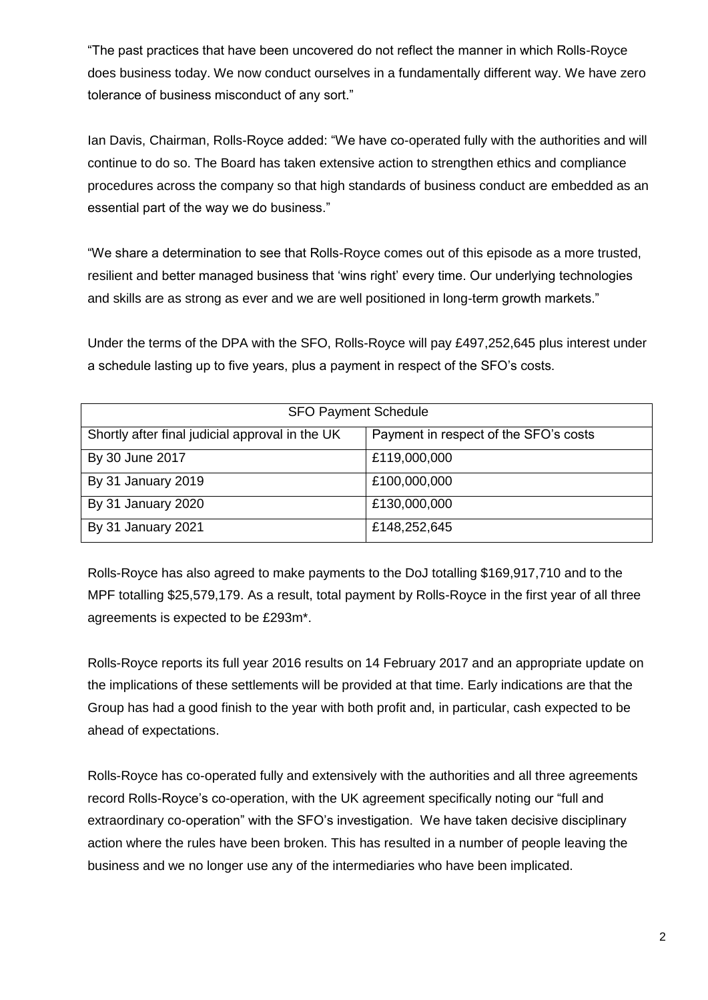"The past practices that have been uncovered do not reflect the manner in which Rolls-Royce does business today. We now conduct ourselves in a fundamentally different way. We have zero tolerance of business misconduct of any sort."

Ian Davis, Chairman, Rolls-Royce added: "We have co-operated fully with the authorities and will continue to do so. The Board has taken extensive action to strengthen ethics and compliance procedures across the company so that high standards of business conduct are embedded as an essential part of the way we do business."

"We share a determination to see that Rolls-Royce comes out of this episode as a more trusted, resilient and better managed business that 'wins right' every time. Our underlying technologies and skills are as strong as ever and we are well positioned in long-term growth markets."

Under the terms of the DPA with the SFO, Rolls-Royce will pay £497,252,645 plus interest under a schedule lasting up to five years, plus a payment in respect of the SFO's costs.

| <b>SFO Payment Schedule</b>                     |                                       |
|-------------------------------------------------|---------------------------------------|
| Shortly after final judicial approval in the UK | Payment in respect of the SFO's costs |
| By 30 June 2017                                 | £119,000,000                          |
| By 31 January 2019                              | £100,000,000                          |
| By 31 January 2020                              | £130,000,000                          |
| By 31 January 2021                              | £148,252,645                          |

Rolls-Royce has also agreed to make payments to the DoJ totalling \$169,917,710 and to the MPF totalling \$25,579,179. As a result, total payment by Rolls-Royce in the first year of all three agreements is expected to be £293m\*.

Rolls-Royce reports its full year 2016 results on 14 February 2017 and an appropriate update on the implications of these settlements will be provided at that time. Early indications are that the Group has had a good finish to the year with both profit and, in particular, cash expected to be ahead of expectations.

Rolls-Royce has co-operated fully and extensively with the authorities and all three agreements record Rolls-Royce's co-operation, with the UK agreement specifically noting our "full and extraordinary co-operation" with the SFO's investigation. We have taken decisive disciplinary action where the rules have been broken. This has resulted in a number of people leaving the business and we no longer use any of the intermediaries who have been implicated.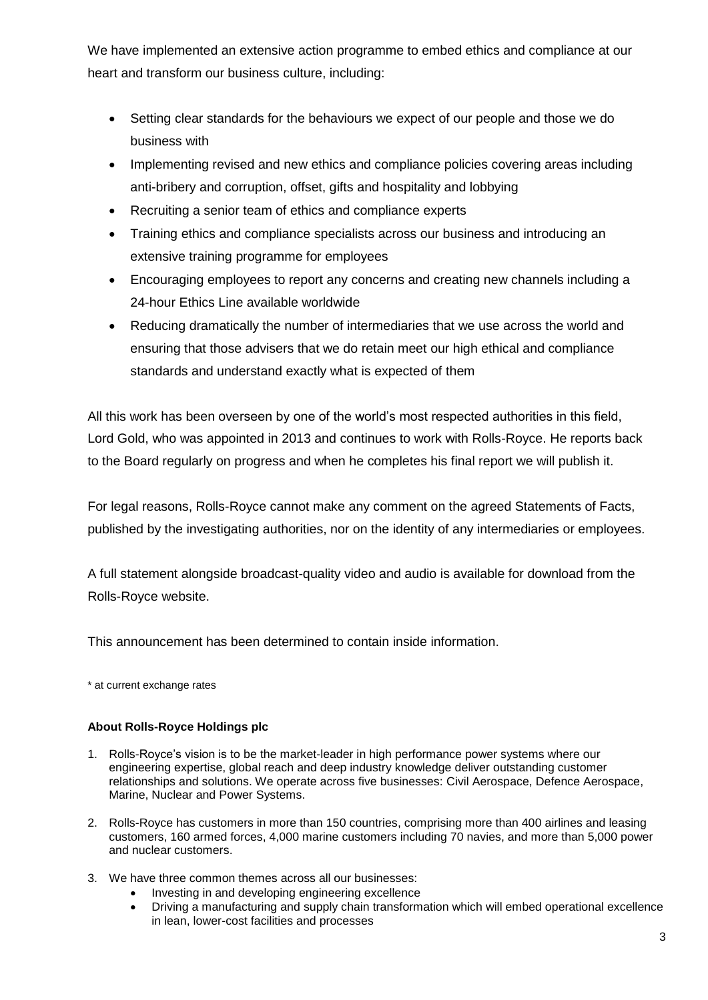We have implemented an extensive action programme to embed ethics and compliance at our heart and transform our business culture, including:

- Setting clear standards for the behaviours we expect of our people and those we do business with
- Implementing revised and new ethics and compliance policies covering areas including anti-bribery and corruption, offset, gifts and hospitality and lobbying
- Recruiting a senior team of ethics and compliance experts
- Training ethics and compliance specialists across our business and introducing an extensive training programme for employees
- Encouraging employees to report any concerns and creating new channels including a 24-hour Ethics Line available worldwide
- Reducing dramatically the number of intermediaries that we use across the world and ensuring that those advisers that we do retain meet our high ethical and compliance standards and understand exactly what is expected of them

All this work has been overseen by one of the world's most respected authorities in this field, Lord Gold, who was appointed in 2013 and continues to work with Rolls-Royce. He reports back to the Board regularly on progress and when he completes his final report we will publish it.

For legal reasons, Rolls-Royce cannot make any comment on the agreed Statements of Facts, published by the investigating authorities, nor on the identity of any intermediaries or employees.

A full statement alongside broadcast-quality video and audio is available for download from the Rolls-Royce website.

This announcement has been determined to contain inside information.

\* at current exchange rates

# **About Rolls-Royce Holdings plc**

- 1. Rolls-Royce's vision is to be the market-leader in high performance power systems where our engineering expertise, global reach and deep industry knowledge deliver outstanding customer relationships and solutions. We operate across five businesses: Civil Aerospace, Defence Aerospace, Marine, Nuclear and Power Systems.
- 2. Rolls-Royce has customers in more than 150 countries, comprising more than 400 airlines and leasing customers, 160 armed forces, 4,000 marine customers including 70 navies, and more than 5,000 power and nuclear customers.
- 3. We have three common themes across all our businesses:
	- Investing in and developing engineering excellence
	- Driving a manufacturing and supply chain transformation which will embed operational excellence in lean, lower-cost facilities and processes